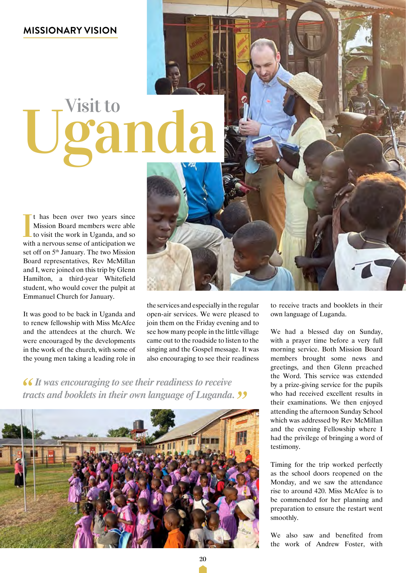# Uganda Visit to

I thas been over two years since<br>Mission Board members were able<br>to visit the work in Uganda, and so<br>with a nervous sense of anticipation we t has been over two years since Mission Board members were able to visit the work in Uganda, and so set off on 5th January. The two Mission Board representatives, Rev McMillan and I, were joined on this trip by Glenn Hamilton, a third-year Whitefield student, who would cover the pulpit at Emmanuel Church for January.

It was good to be back in Uganda and to renew fellowship with Miss McAfee and the attendees at the church. We were encouraged by the developments in the work of the church, with some of the young men taking a leading role in

the services and especially in the regular open-air services. We were pleased to join them on the Friday evening and to see how many people in the little village came out to the roadside to listen to the singing and the Gospel message. It was also encouraging to see their readiness

*It was encouraging to see their readiness to receive tracts and booklets in their own language of Luganda.* 



to receive tracts and booklets in their own language of Luganda.

We had a blessed day on Sunday, with a prayer time before a very full morning service. Both Mission Board members brought some news and greetings, and then Glenn preached the Word. This service was extended by a prize-giving service for the pupils who had received excellent results in their examinations. We then enjoyed attending the afternoon Sunday School which was addressed by Rev McMillan and the evening Fellowship where I had the privilege of bringing a word of testimony.

Timing for the trip worked perfectly as the school doors reopened on the Monday, and we saw the attendance rise to around 420. Miss McAfee is to be commended for her planning and preparation to ensure the restart went smoothly.

We also saw and benefited from the work of Andrew Foster, with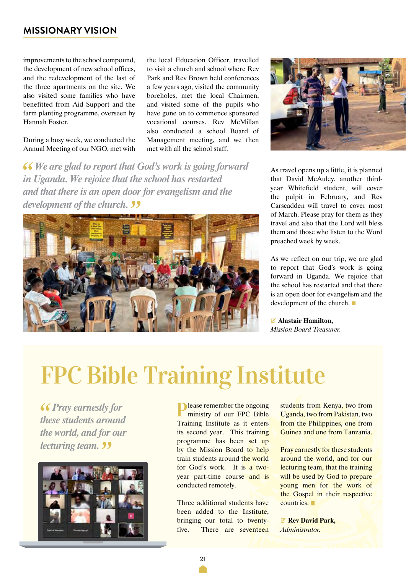improvements to the school compound, the development of new school offices, and the redevelopment of the last of the three apartments on the site. We also visited some families who have benefitted from Aid Support and the farm planting programme, overseen by Hannah Foster.

During a busy week, we conducted the Annual Meeting of our NGO, met with the local Education Officer, travelled to visit a church and school where Rev Park and Rev Brown held conferences a few years ago, visited the community boreholes, met the local Chairmen, and visited some of the pupils who have gone on to commence sponsored vocational courses. Rev McMillan also conducted a school Board of Management meeting, and we then met with all the school staff.

*We are glad to report that God's work is going forward in Uganda. We rejoice that the school has restarted and that there is an open door for evangelism and the development of the church.* 





As travel opens up a little, it is planned that David McAuley, another thirdyear Whitefield student, will cover the pulpit in February, and Rev Carscadden will travel to cover most of March. Please pray for them as they travel and also that the Lord will bless them and those who listen to the Word preached week by week.

As we reflect on our trip, we are glad to report that God's work is going forward in Uganda. We rejoice that the school has restarted and that there is an open door for evangelism and the development of the church.

V **Alastair Hamilton,** *Mission Board Treasurer.*

### FPC Bible Training Institute

*<u>Fray earnestly for</u> these students around the world, and for our lecturing team.* 



**Please remember the ongoing** ministry of our FPC Bible Training Institute as it enters its second year. This training programme has been set up by the Mission Board to help train students around the world for God's work. It is a twoyear part-time course and is conducted remotely.

Three additional students have been added to the Institute, bringing our total to twentyfive. There are seventeen students from Kenya, two from Uganda, two from Pakistan, two from the Philippines, one from Guinea and one from Tanzania.

Pray earnestly for these students around the world, and for our lecturing team, that the training will be used by God to prepare young men for the work of the Gospel in their respective countries.

V **Rev David Park,** *Administrator.*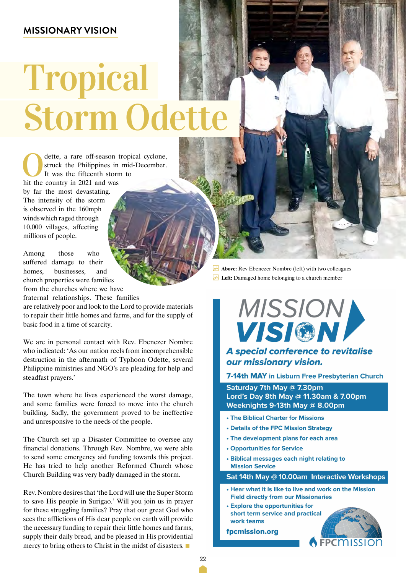## Tropical Storm Odette

dette, a rare off-season tropical cyclone,<br>struck the Philippines in mid-December.<br>It was the fifteenth storm to<br>hit the country in 2021 and was struck the Philippines in mid-December. It was the fifteenth storm to hit the country in 2021 and was by far the most devastating. The intensity of the storm is observed in the 160mph winds which raged through 10,000 villages, affecting millions of people.

Among those who suffered damage to their homes, businesses, and church properties were families from the churches where we have

fraternal relationships. These families

are relatively poor and look to the Lord to provide materials to repair their little homes and farms, and for the supply of basic food in a time of scarcity.

We are in personal contact with Rev. Ebenezer Nombre who indicated: 'As our nation reels from incomprehensible destruction in the aftermath of Typhoon Odette, several Philippine ministries and NGO's are pleading for help and steadfast prayers.'

The town where he lives experienced the worst damage, and some families were forced to move into the church building. Sadly, the government proved to be ineffective and unresponsive to the needs of the people.

The Church set up a Disaster Committee to oversee any financial donations. Through Rev. Nombre, we were able to send some emergency aid funding towards this project. He has tried to help another Reformed Church whose Church Building was very badly damaged in the storm.

Rev. Nombre desires that 'the Lord will use the Super Storm to save His people in Surigao.' Will you join us in prayer for these struggling families? Pray that our great God who sees the afflictions of His dear people on earth will provide the necessary funding to repair their little homes and farms, supply their daily bread, and be pleased in His providential mercy to bring others to Christ in the midst of disasters.

 **Above:** Rev Ebenezer Nombre (left) with two colleagues **Left:** Damaged home belonging to a church member



#### A special conference to revitalise our missionary vision.

7-14th MAY in Lisburn Free Presbyterian Church

Saturday 7th May @ 7.30pm Lord's Day 8th May @ 11.30am & 7.00pm Weeknights 9-13th May @ 8.00pm

- . The Biblical Charter for Missions
- . Details of the FPC Mission Strategy
- The development plans for each area
- **Opportunities for Service**
- Biblical messages each night relating to **Mission Service**

Sat 14th May @ 10.00am Interactive Workshops

- . Hear what it is like to live and work on the Mission **Field directly from our Missionaries**
- **Explore the opportunities for** short term service and practical work teams





22